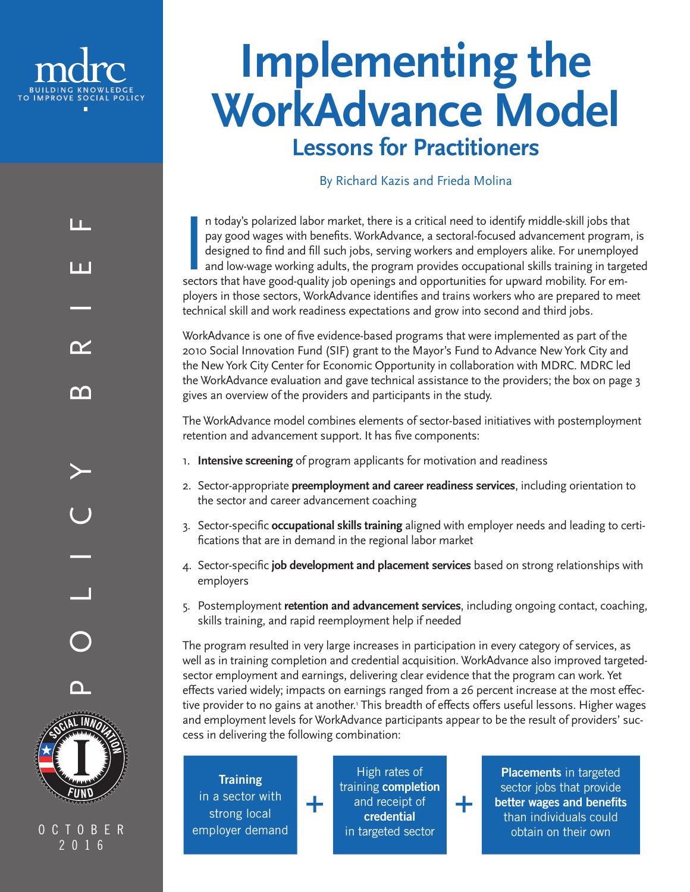

# **Implementing the WorkAdvance Model Lessons for Practitioners**

#### By Richard Kazis and Frieda Molina

In today's polarized labor market, there is a critical need to identify middle-skill jobs that pay good wages with benefits. WorkAdvance, a sectoral-focused advancement program designed to find and fill such jobs, serving n today's polarized labor market, there is a critical need to identify middle-skill jobs that pay good wages with benefits. WorkAdvance, a sectoral-focused advancement program, is designed to find and fill such jobs, serving workers and employers alike. For unemployed and low-wage working adults, the program provides occupational skills training in targeted ployers in those sectors, WorkAdvance identifies and trains workers who are prepared to meet technical skill and work readiness expectations and grow into second and third jobs.

WorkAdvance is one of five evidence-based programs that were implemented as part of the 2010 Social Innovation Fund (SIF) grant to the Mayor's Fund to Advance New York City and the New York City Center for Economic Opportunity in collaboration with MDRC. MDRC led the WorkAdvance evaluation and gave technical assistance to the providers; the box on page 3 gives an overview of the providers and participants in the study.

The WorkAdvance model combines elements of sector-based initiatives with postemployment retention and advancement support. It has five components:

- 1. **Intensive screening** of program applicants for motivation and readiness
- 2. Sector-appropriate **preemployment and career readiness services**, including orientation to the sector and career advancement coaching
- 3. Sector-specific **occupational skills training** aligned with employer needs and leading to certifications that are in demand in the regional labor market
- 4. Sector-specific **job development and placement services** based on strong relationships with employers
- 5. Postemployment **retention and advancement services**, including ongoing contact, coaching, skills training, and rapid reemployment help if needed

The program resulted in very large increases in participation in every category of services, as well as in training completion and credential acquisition. WorkAdvance also improved targetedsector employment and earnings, delivering clear evidence that the program can work. Yet effects varied widely; impacts on earnings ranged from a 26 percent increase at the most effective provider to no gains at another.' This breadth of effects offers useful lessons. Higher wages and employment levels for WorkAdvance participants appear to be the result of providers' success in delivering the following combination:

+

**Training** in a sector with strong local employer demand

+

High rates of training completion and receipt of credential in targeted sector

**Placements** in targeted sector jobs that provide better wages and benefits than individuals could obtain on their own

LL. POLICY BRIEF ПT  $\boldsymbol{\gamma}$ ⋒



CTOBER 2016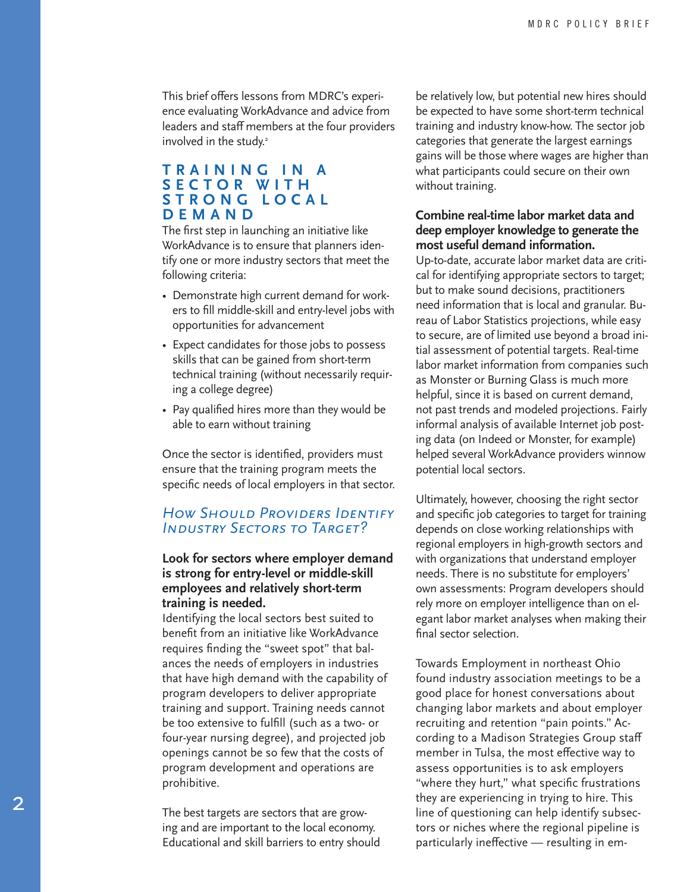This brief offers lessons from MDRC's experi ence evaluating WorkAdvance and advice from leaders and staff members at the four providers involved in the study. 2

#### **T R A I N I N G I N A S E C T O R W I T H S T R O N G L O C A L DEMAND**

The first step in launching an initiative like WorkAdvance is to ensure that planners iden tify one or more industry sectors that meet the following criteria:

- Demonstrate high current demand for work ers to fill middle-skill and entry-level jobs with opportunities for advancement
- Expect candidates for those jobs to possess skills that can be gained from short-term technical training (without necessarily requir ing a college degree)
- Pay qualified hires more than they would be able to earn without training

Once the sector is identified, providers must ensure that the training program meets the specific needs of local employers in that sector.

#### *How Should Providers Identify Industry Sectors to Target?*

#### **Look for sectors where employer demand is strong for entry-level or middle-skill employees and relatively short-term training is needed.**

Identifying the local sectors best suited to benefit from an initiative like WorkAdvance requires finding the "sweet spot" that bal ances the needs of employers in industries that have high demand with the capability of program developers to deliver appropriate training and support. Training needs cannot be too extensive to fulfill (such as a two- or four-year nursing degree), and projected job openings cannot be so few that the costs of program development and operations are prohibitive.

The best targets are sectors that are grow ing and are important to the local economy. Educational and skill barriers to entry should be relatively low, but potential new hires should be expected to have some short-term technical training and industry know-how. The sector job categories that generate the largest earnings gains will be those where wages are higher than what participants could secure on their own without training.

#### **Combine real-time labor market data and deep employer knowledge to generate the most useful demand information.**

Up-to-date, accurate labor market data are criti cal for identifying appropriate sectors to target; but to make sound decisions, practitioners need information that is local and granular. Bu reau of Labor Statistics projections, while easy to secure, are of limited use beyond a broad ini tial assessment of potential targets. Real-time labor market information from companies such as Monster or Burning Glass is much more helpful, since it is based on current demand, not past trends and modeled projections. Fairly informal analysis of available Internet job post ing data (on Indeed or Monster, for example) helped several WorkAdvance providers winnow potential local sectors.

Ultimately, however, choosing the right sector and specific job categories to target for training depends on close working relationships with regional employers in high-growth sectors and with organizations that understand employer needs. There is no substitute for employers' own assessments: Program developers should rely more on employer intelligence than on el egant labor market analyses when making their final sector selection.

Towards Employment in northeast Ohio found industry association meetings to be a good place for honest conversations about changing labor markets and about employer recruiting and retention "pain points." Ac cording to a Madison Strategies Group staff member in Tulsa, the most effective way to assess opportunities is to ask employers "where they hurt," what specific frustrations they are experiencing in trying to hire. This line of questioning can help identify subsec tors or niches where the regional pipeline is particularly ineffective — resulting in em -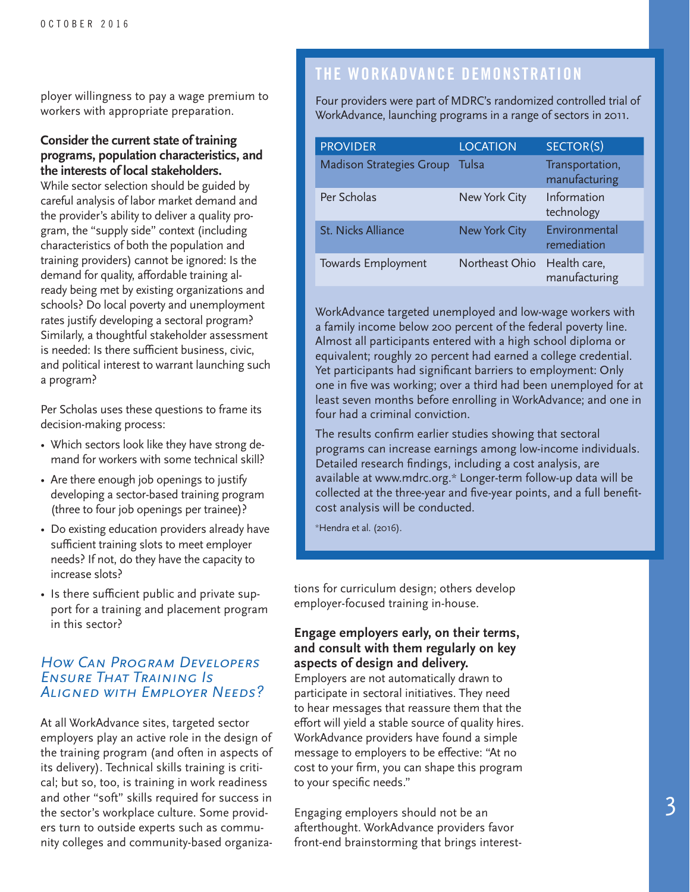ployer willingness to pay a wage premium to workers with appropriate preparation.

#### **Consider the current state of training programs, population characteristics, and the interests of local stakeholders.**

While sector selection should be guided by careful analysis of labor market demand and the provider's ability to deliver a quality program, the "supply side" context (including characteristics of both the population and training providers) cannot be ignored: Is the demand for quality, affordable training already being met by existing organizations and schools? Do local poverty and unemployment rates justify developing a sectoral program? Similarly, a thoughtful stakeholder assessment is needed: Is there sufficient business, civic, and political interest to warrant launching such a program?

Per Scholas uses these questions to frame its decision-making process:

- Which sectors look like they have strong demand for workers with some technical skill?
- Are there enough job openings to justify developing a sector-based training program (three to four job openings per trainee)?
- Do existing education providers already have sufficient training slots to meet employer needs? If not, do they have the capacity to increase slots?
- Is there sufficient public and private support for a training and placement program in this sector?

#### *How Can Program Developers Ensure That Training Is Aligned with Employer Needs?*

At all WorkAdvance sites, targeted sector employers play an active role in the design of the training program (and often in aspects of its delivery). Technical skills training is critical; but so, too, is training in work readiness and other "soft" skills required for success in the sector's workplace culture. Some providers turn to outside experts such as community colleges and community-based organiza-

# THE WORKADVANCE DEMONSTRATION

Four providers were part of MDRC's randomized controlled trial of WorkAdvance, launching programs in a range of sectors in 2011.

| <b>PROVIDER</b>                 | <b>LOCATION</b>      | SECTOR(S)                        |
|---------------------------------|----------------------|----------------------------------|
| <b>Madison Strategies Group</b> | Tulsa                | Transportation,<br>manufacturing |
| Per Scholas                     | New York City        | Information<br>technology        |
| <b>St. Nicks Alliance</b>       | <b>New York City</b> | Environmental<br>remediation     |
| Towards Employment              | Northeast Ohio       | Health care,<br>manufacturing    |

WorkAdvance targeted unemployed and low-wage workers with a family income below 200 percent of the federal poverty line. Almost all participants entered with a high school diploma or equivalent; roughly 20 percent had earned a college credential. Yet participants had significant barriers to employment: Only one in five was working; over a third had been unemployed for at least seven months before enrolling in WorkAdvance; and one in four had a criminal conviction.

The results confirm earlier studies showing that sectoral programs can increase earnings among low-income individuals. Detailed research findings, including a cost analysis, are available at www.mdrc.org.\* Longer-term follow-up data will be collected at the three-year and five-year points, and a full benefitcost analysis will be conducted.

\*Hendra et al. (2016).

tions for curriculum design; others develop employer-focused training in-house.

#### **Engage employers early, on their terms, and consult with them regularly on key aspects of design and delivery.**

Employers are not automatically drawn to participate in sectoral initiatives. They need to hear messages that reassure them that the effort will yield a stable source of quality hires. WorkAdvance providers have found a simple message to employers to be effective: "At no cost to your firm, you can shape this program to your specific needs."

Engaging employers should not be an afterthought. WorkAdvance providers favor front-end brainstorming that brings interest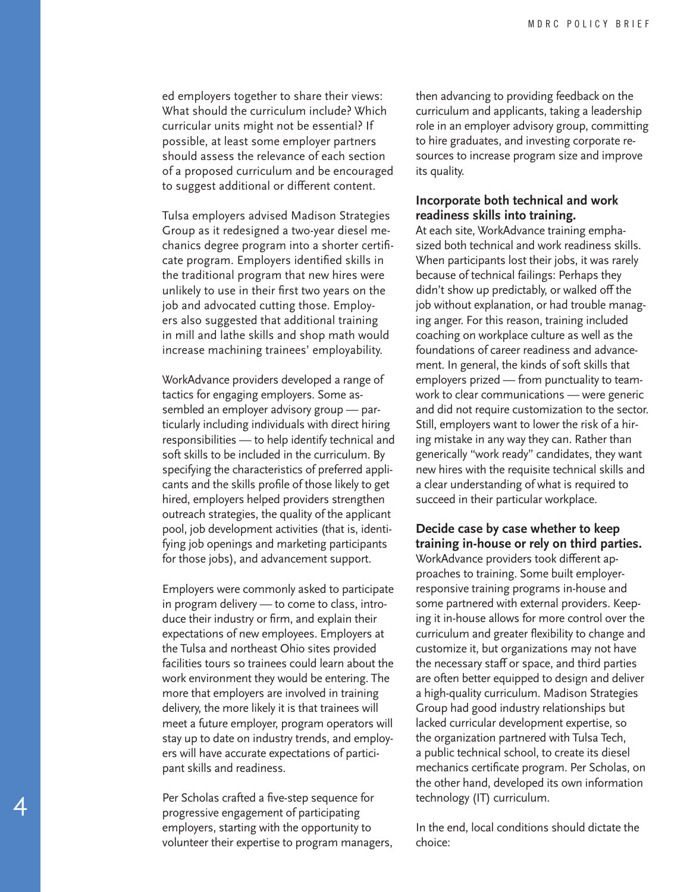ed employers together to share their views: What should the curriculum include? Which curricular units might not be essential? If possible, at least some employer partners should assess the relevance of each section of a proposed curriculum and be encouraged to suggest additional or different content.

Tulsa employers advised Madison Strategies Group as it redesigned a two-year diesel me chanics degree program into a shorter certifi cate program. Employers identified skills in the traditional program that new hires were unlikely to use in their first two years on the job and advocated cutting those. Employ ers also suggested that additional training in mill and lathe skills and shop math would increase machining trainees' employability.

WorkAdvance providers developed a range of tactics for engaging employers. Some as sembled an employer advisory group — par ticularly including individuals with direct hiring responsibilities — to help identify technical and soft skills to be included in the curriculum. By specifying the characteristics of preferred appli cants and the skills profile of those likely to get hired, employers helped providers strengthen outreach strategies, the quality of the applicant pool, job development activities (that is, identi fying job openings and marketing participants for those jobs), and advancement support.

Employers were commonly asked to participate in program delivery — to come to class, intro duce their industry or firm, and explain their expectations of new employees. Employers at the Tulsa and northeast Ohio sites provided facilities tours so trainees could learn about the work environment they would be entering. The more that employers are involved in training delivery, the more likely it is that trainees will meet a future employer, program operators will stay up to date on industry trends, and employ ers will have accurate expectations of partici pant skills and readiness.

Per Scholas crafted a five-step sequence for progressive engagement of participating employers, starting with the opportunity to volunteer their expertise to program managers,

4

then advancing to providing feedback on the curriculum and applicants, taking a leadership role in an employer advisory group, committing to hire graduates, and investing corporate re sources to increase program size and improve its quality.

#### **Incorporate both technical and work readiness skills into training.**

At each site, WorkAdvance training empha sized both technical and work readiness skills. When participants lost their jobs, it was rarely because of technical failings: Perhaps they didn't show up predictably, or walked off the job without explanation, or had trouble manag ing anger. For this reason, training included coaching on workplace culture as well as the foundations of career readiness and advance ment. In general, the kinds of soft skills that employers prized — from punctuality to team work to clear communications — were generic and did not require customization to the sector. Still, employers want to lower the risk of a hir ing mistake in any way they can. Rather than generically "work ready" candidates, they want new hires with the requisite technical skills and a clear understanding of what is required to succeed in their particular workplace.

**Decide case by case whether to keep training in-house or rely on third parties.**

WorkAdvance providers took different ap proaches to training. Some built employerresponsive training programs in-house and some partnered with external providers. Keep ing it in-house allows for more control over the curriculum and greater flexibility to change and customize it, but organizations may not have the necessary staff or space, and third parties are often better equipped to design and deliver a high-quality curriculum. Madison Strategies Group had good industry relationships but lacked curricular development expertise, so the organization partnered with Tulsa Tech, a public technical school, to create its diesel mechanics certificate program. Per Scholas, on the other hand, developed its own information technology (IT) curriculum.

In the end, local conditions should dictate the choice: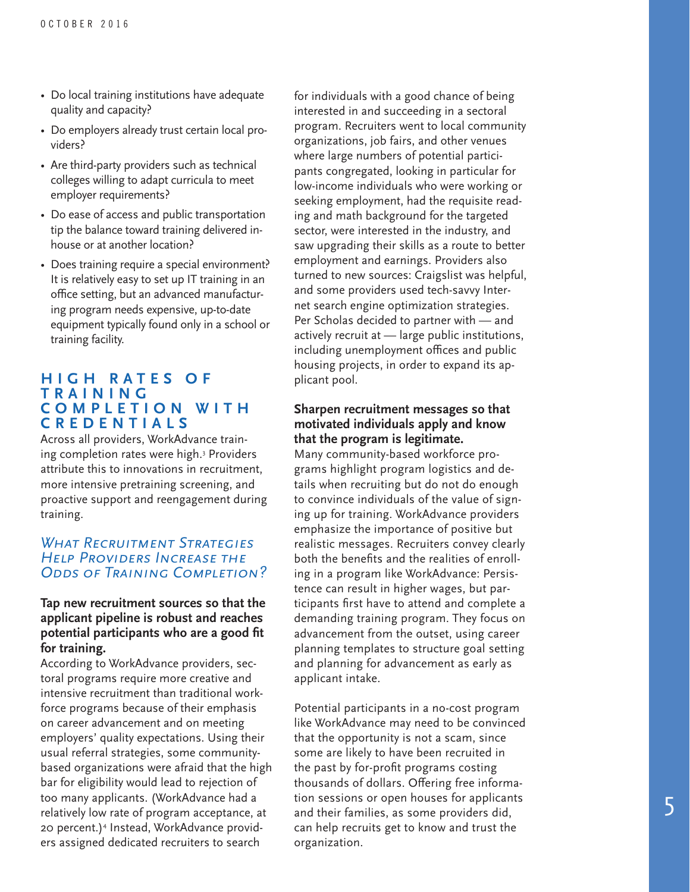- Do local training institutions have adequate quality and capacity?
- Do employers already trust certain local pro viders?
- Are third-party providers such as technical colleges willing to adapt curricula to meet employer requirements?
- Do ease of access and public transportation tip the balance toward training delivered inhouse or at another location?
- Does training require a special environment? It is relatively easy to set up IT training in an office setting, but an advanced manufactur ing program needs expensive, up-to-date equipment typically found only in a school or training facility.

#### **H I G H R A T E S O F T R A I N I N G C O M P L E T I O N W I T H CREDENTIALS**

Across all providers, WorkAdvance train ing completion rates were high. 3 Providers attribute this to innovations in recruitment, more intensive pretraining screening, and proactive support and reengagement during training.

#### *What Recruitment Strategies Help Providers Increase the Odds of Training Completion?*

#### **Tap new recruitment sources so that the applicant pipeline is robust and reaches potential participants who are a good fit for training.**

According to WorkAdvance providers, sec toral programs require more creative and intensive recruitment than traditional work force programs because of their emphasis on career advancement and on meeting employers' quality expectations. Using their usual referral strategies, some communitybased organizations were afraid that the high bar for eligibility would lead to rejection of too many applicants. (WorkAdvance had a relatively low rate of program acceptance, at 20 percent.) 4 Instead, WorkAdvance provid ers assigned dedicated recruiters to search

for individuals with a good chance of being interested in and succeeding in a sectoral program. Recruiters went to local community organizations, job fairs, and other venues where large numbers of potential partici pants congregated, looking in particular for low-income individuals who were working or seeking employment, had the requisite read ing and math background for the targeted sector, were interested in the industry, and saw upgrading their skills as a route to better employment and earnings. Providers also turned to new sources: Craigslist was helpful, and some providers used tech-savvy Inter net search engine optimization strategies. Per Scholas decided to partner with — and actively recruit at — large public institutions, including unemployment offices and public housing projects, in order to expand its ap plicant pool.

#### **Sharpen recruitment messages so that motivated individuals apply and know that the program is legitimate.**

Many community-based workforce pro grams highlight program logistics and de tails when recruiting but do not do enough to convince individuals of the value of sign ing up for training. WorkAdvance providers emphasize the importance of positive but realistic messages. Recruiters convey clearly both the benefits and the realities of enroll ing in a program like WorkAdvance: Persis tence can result in higher wages, but par ticipants first have to attend and complete a demanding training program. They focus on advancement from the outset, using career planning templates to structure goal setting and planning for advancement as early as applicant intake.

Potential participants in a no-cost program like WorkAdvance may need to be convinced that the opportunity is not a scam, since some are likely to have been recruited in the past by for-profit programs costing thousands of dollars. Offering free informa tion sessions or open houses for applicants and their families, as some providers did, can help recruits get to know and trust the organization.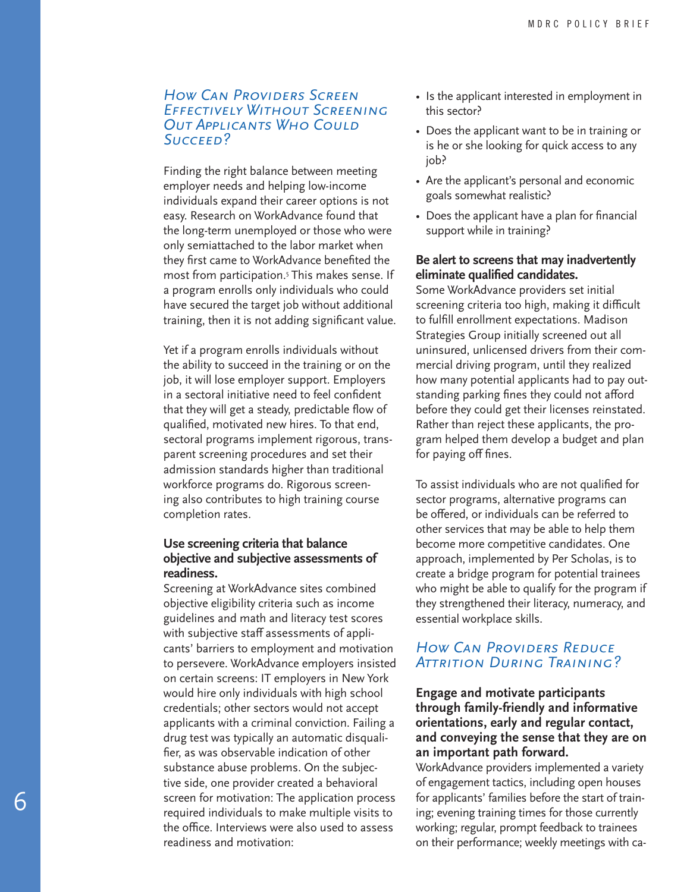#### *How Can Providers Screen Effectively Without Screening Out Applicants Who Could Succeed?*

Finding the right balance between meeting employer needs and helping low-income individuals expand their career options is not easy. Research on WorkAdvance found that the long-term unemployed or those who were only semiattached to the labor market when they first came to WorkAdvance benefited the most from participation.<sup>5</sup> This makes sense. If a program enrolls only individuals who could have secured the target job without additional training, then it is not adding significant value.

Yet if a program enrolls individuals without the ability to succeed in the training or on the job, it will lose employer support. Employers in a sectoral initiative need to feel confident that they will get a steady, predictable flow of qualified, motivated new hires. To that end, sectoral programs implement rigorous, trans parent screening procedures and set their admission standards higher than traditional workforce programs do. Rigorous screen ing also contributes to high training course completion rates.

#### **Use screening criteria that balance objective and subjective assessments of readiness.**

Screening at WorkAdvance sites combined objective eligibility criteria such as income guidelines and math and literacy test scores with subjective staff assessments of appli cants' barriers to employment and motivation to persevere. WorkAdvance employers insisted on certain screens: IT employers in New York would hire only individuals with high school credentials; other sectors would not accept applicants with a criminal conviction. Failing a drug test was typically an automatic disquali fier, as was observable indication of other substance abuse problems. On the subjec tive side, one provider created a behavioral screen for motivation: The application process required individuals to make multiple visits to the office. Interviews were also used to assess readiness and motivation:

- Is the applicant interested in employment in this sector?
- Does the applicant want to be in training or is he or she looking for quick access to any job?
- Are the applicant's personal and economic goals somewhat realistic?
- Does the applicant have a plan for financial support while in training?

#### **Be alert to screens that may inadvertently eliminate qualified candidates.**

Some WorkAdvance providers set initial screening criteria too high, making it difficult to fulfill enrollment expectations. Madison Strategies Group initially screened out all uninsured, unlicensed drivers from their com mercial driving program, until they realized how many potential applicants had to pay out standing parking fines they could not afford before they could get their licenses reinstated. Rather than reject these applicants, the pro gram helped them develop a budget and plan for paying off fines.

To assist individuals who are not qualified for sector programs, alternative programs can be offered, or individuals can be referred to other services that may be able to help them become more competitive candidates. One approach, implemented by Per Scholas, is to create a bridge program for potential trainees who might be able to qualify for the program if they strengthened their literacy, numeracy, and essential workplace skills.

#### *How Can Providers Reduce Attrition During Training?*

#### **Engage and motivate participants through family-friendly and informative orientations, early and regular contact, and conveying the sense that they are on an important path forward.**

WorkAdvance providers implemented a variety of engagement tactics, including open houses for applicants' families before the start of train ing; evening training times for those currently working; regular, prompt feedback to trainees on their performance; weekly meetings with ca -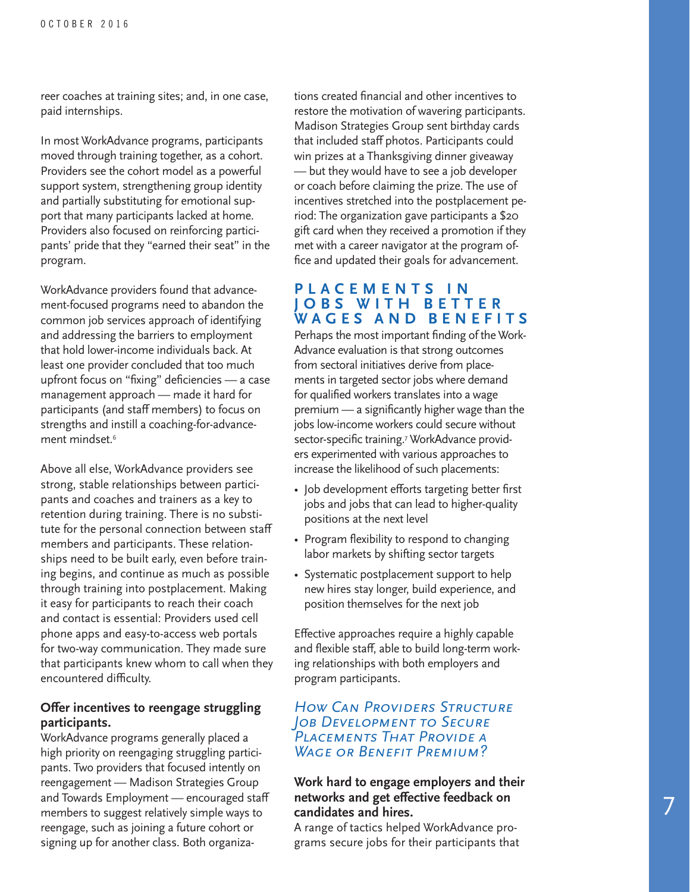reer coaches at training sites; and, in one case, paid internships.

In most WorkAdvance programs, participants moved through training together, as a cohort. Providers see the cohort model as a powerful support system, strengthening group identity and partially substituting for emotional sup port that many participants lacked at home. Providers also focused on reinforcing partici pants' pride that they "earned their seat" in the program.

WorkAdvance providers found that advance ment-focused programs need to abandon the common job services approach of identifying and addressing the barriers to employment that hold lower-income individuals back. At least one provider concluded that too much upfront focus on "fixing" deficiencies — a case management approach — made it hard for participants (and staff members) to focus on strengths and instill a coaching-for-advance ment mindset. 6

Above all else, WorkAdvance providers see strong, stable relationships between partici pants and coaches and trainers as a key to retention during training. There is no substi tute for the personal connection between staff members and participants. These relation ships need to be built early, even before train ing begins, and continue as much as possible through training into postplacement. Making it easy for participants to reach their coach and contact is essential: Providers used cell phone apps and easy-to-access web portals for two-way communication. They made sure that participants knew whom to call when they encountered difficulty.

#### **Offer incentives to reengage struggling participants.**

WorkAdvance programs generally placed a high priority on reengaging struggling partici pants. Two providers that focused intently on reengagement — Madison Strategies Group and Towards Employment — encouraged staff members to suggest relatively simple ways to reengage, such as joining a future cohort or signing up for another class. Both organiza -

tions created financial and other incentives to restore the motivation of wavering participants. Madison Strategies Group sent birthday cards that included staff photos. Participants could win prizes at a Thanksgiving dinner giveaway — but they would have to see a job developer or coach before claiming the prize. The use of incentives stretched into the postplacement pe riod: The organization gave participants a \$20 gift card when they received a promotion if they met with a career navigator at the program office and updated their goals for advancement.

# **P L A C E M E N T S I N J O B S W I T H B E T T E R WAGES AND BENEFITS**

Perhaps the most important finding of the Work - Advance evaluation is that strong outcomes from sectoral initiatives derive from place ments in targeted sector jobs where demand for qualified workers translates into a wage premium — a significantly higher wage than the jobs low-income workers could secure without sector-specific training. 7 WorkAdvance provid ers experimented with various approaches to increase the likelihood of such placements:

- Job development efforts targeting better first jobs and jobs that can lead to higher-quality positions at the next level
- Program flexibility to respond to changing labor markets by shifting sector targets
- Systematic postplacement support to help new hires stay longer, build experience, and position themselves for the next job

Effective approaches require a highly capable and flexible staff, able to build long-term work ing relationships with both employers and program participants.

#### *How Can Providers Structure Job Development to Secure Placements That Provide a Wage or Benefit Premium?*

#### **Work hard to engage employers and their networks and get effective feedback on candidates and hires.**

A range of tactics helped WorkAdvance pro grams secure jobs for their participants that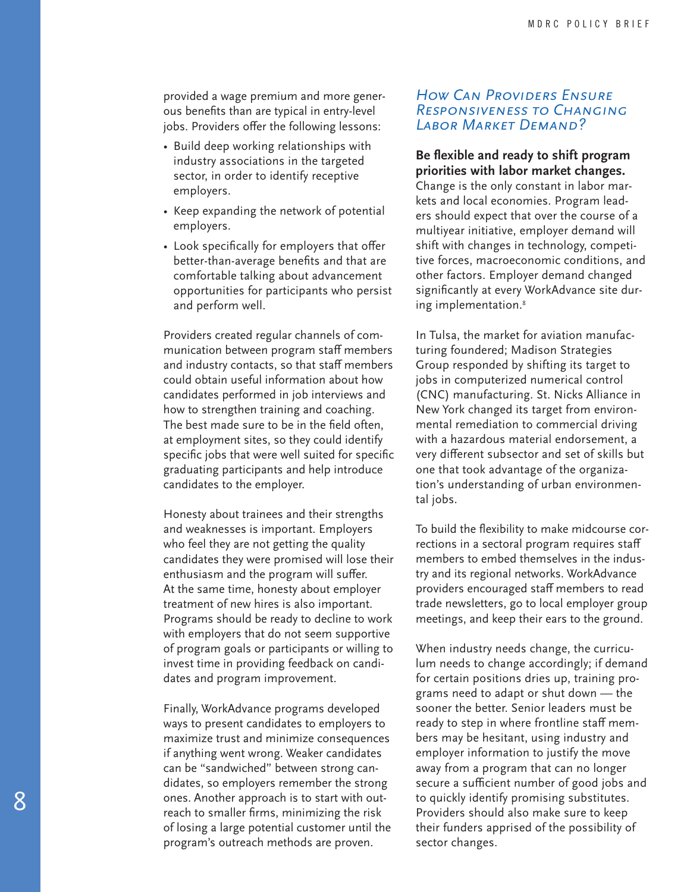provided a wage premium and more gener ous benefits than are typical in entry-level jobs. Providers offer the following lessons:

- Build deep working relationships with industry associations in the targeted sector, in order to identify receptive employers.
- Keep expanding the network of potential employers.
- Look specifically for employers that offer better-than-average benefits and that are comfortable talking about advancement opportunities for participants who persist and perform well.

Providers created regular channels of com munication between program staff members and industry contacts, so that staff members could obtain useful information about how candidates performed in job interviews and how to strengthen training and coaching. The best made sure to be in the field often, at employment sites, so they could identify specific jobs that were well suited for specific graduating participants and help introduce candidates to the employer.

Honesty about trainees and their strengths and weaknesses is important. Employers who feel they are not getting the quality candidates they were promised will lose their enthusiasm and the program will suffer. At the same time, honesty about employer treatment of new hires is also important. Programs should be ready to decline to work with employers that do not seem supportive of program goals or participants or willing to invest time in providing feedback on candi dates and program improvement.

Finally, WorkAdvance programs developed ways to present candidates to employers to maximize trust and minimize consequences if anything went wrong. Weaker candidates can be "sandwiched" between strong can didates, so employers remember the strong ones. Another approach is to start with out reach to smaller firms, minimizing the risk of losing a large potential customer until the program's outreach methods are proven.

#### *How Can Providers Ensure Responsiveness to Changing Labor Market Demand?*

#### **Be flexible and ready to shift program priorities with labor market changes.**

Change is the only constant in labor mar kets and local economies. Program lead ers should expect that over the course of a multiyear initiative, employer demand will shift with changes in technology, competi tive forces, macroeconomic conditions, and other factors. Employer demand changed significantly at every WorkAdvance site dur ing implementation. 8

In Tulsa, the market for aviation manufac turing foundered; Madison Strategies Group responded by shifting its target to jobs in computerized numerical control (CNC) manufacturing. St. Nicks Alliance in New York changed its target from environ mental remediation to commercial driving with a hazardous material endorsement, a very different subsector and set of skills but one that took advantage of the organiza tion's understanding of urban environmen tal jobs.

To build the flexibility to make midcourse cor rections in a sectoral program requires staff members to embed themselves in the indus try and its regional networks. WorkAdvance providers encouraged staff members to read trade newsletters, go to local employer group meetings, and keep their ears to the ground.

When industry needs change, the curricu lum needs to change accordingly; if demand for certain positions dries up, training pro grams need to adapt or shut down — the sooner the better. Senior leaders must be ready to step in where frontline staff mem bers may be hesitant, using industry and employer information to justify the move away from a program that can no longer secure a sufficient number of good jobs and to quickly identify promising substitutes. Providers should also make sure to keep their funders apprised of the possibility of sector changes.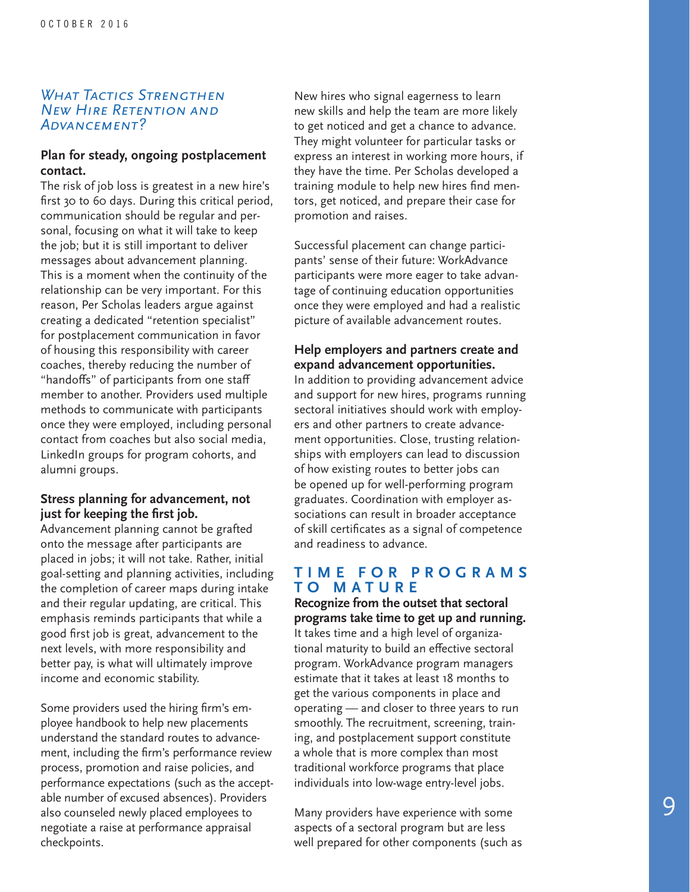#### *What Tactics Strengthen New Hire Retention and Advancement?*

#### **Plan for steady, ongoing postplacement contact.**

The risk of job loss is greatest in a new hire's first 30 to 60 days. During this critical period, communication should be regular and per sonal, focusing on what it will take to keep the job; but it is still important to deliver messages about advancement planning. This is a moment when the continuity of the relationship can be very important. For this reason, Per Scholas leaders argue against creating a dedicated "retention specialist" for postplacement communication in favor of housing this responsibility with career coaches, thereby reducing the number of "handoffs" of participants from one staff member to another. Providers used multiple methods to communicate with participants once they were employed, including personal contact from coaches but also social media, LinkedIn groups for program cohorts, and alumni groups.

#### **Stress planning for advancement, not just for keeping the first job.**

Advancement planning cannot be grafted onto the message after participants are placed in jobs; it will not take. Rather, initial goal-setting and planning activities, including the completion of career maps during intake and their regular updating, are critical. This emphasis reminds participants that while a good first job is great, advancement to the next levels, with more responsibility and better pay, is what will ultimately improve income and economic stability.

Some providers used the hiring firm's em ployee handbook to help new placements understand the standard routes to advance ment, including the firm's performance review process, promotion and raise policies, and performance expectations (such as the accept able number of excused absences). Providers also counseled newly placed employees to negotiate a raise at performance appraisal checkpoints.

New hires who signal eagerness to learn new skills and help the team are more likely to get noticed and get a chance to advance. They might volunteer for particular tasks or express an interest in working more hours, if they have the time. Per Scholas developed a training module to help new hires find men tors, get noticed, and prepare their case for promotion and raises.

Successful placement can change partici pants' sense of their future: WorkAdvance participants were more eager to take advan tage of continuing education opportunities once they were employed and had a realistic picture of available advancement routes.

#### **Help employers and partners create and expand advancement opportunities.**

In addition to providing advancement advice and support for new hires, programs running sectoral initiatives should work with employ ers and other partners to create advance ment opportunities. Close, trusting relation ships with employers can lead to discussion of how existing routes to better jobs can be opened up for well-performing program graduates. Coordination with employer as sociations can result in broader acceptance of skill certificates as a signal of competence and readiness to advance.

#### **T I M E F O R P R O G R A M S TO MATURE**

**Recognize from the outset that sectoral programs take time to get up and running.** It takes time and a high level of organiza tional maturity to build an effective sectoral program. WorkAdvance program managers estimate that it takes at least 18 months to get the various components in place and operating — and closer to three years to run smoothly. The recruitment, screening, train ing, and postplacement support constitute a whole that is more complex than most traditional workforce programs that place individuals into low-wage entry-level jobs.

Many providers have experience with some aspects of a sectoral program but are less well prepared for other components (such as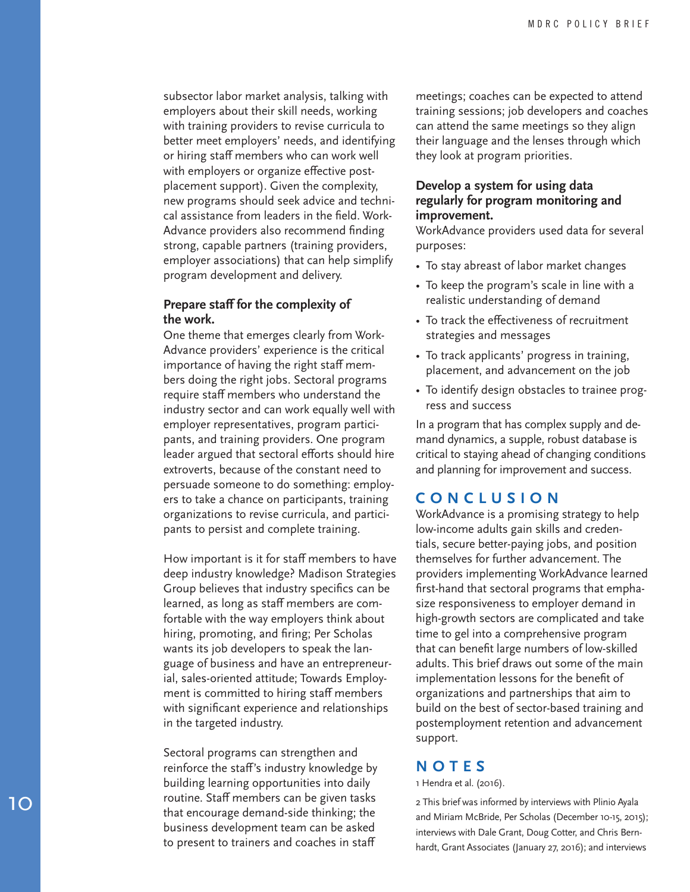subsector labor market analysis, talking with employers about their skill needs, working with training providers to revise curricula to better meet employers' needs, and identifying or hiring staff members who can work well with employers or organize effective post placement support). Given the complexity, new programs should seek advice and techni cal assistance from leaders in the field. Work - Advance providers also recommend finding strong, capable partners (training providers, employer associations) that can help simplify program development and delivery.

#### **Prepare staff for the complexity of the work.**

One theme that emerges clearly from Work - Advance providers' experience is the critical importance of having the right staff mem bers doing the right jobs. Sectoral programs require staff members who understand the industry sector and can work equally well with employer representatives, program partici pants, and training providers. One program leader argued that sectoral efforts should hire extroverts, because of the constant need to persuade someone to do something: employ ers to take a chance on participants, training organizations to revise curricula, and partici pants to persist and complete training.

How important is it for staff members to have deep industry knowledge? Madison Strategies Group believes that industry specifics can be learned, as long as staff members are com fortable with the way employers think about hiring, promoting, and firing; Per Scholas wants its job developers to speak the lan guage of business and have an entrepreneur ial, sales-oriented attitude; Towards Employ ment is committed to hiring staff members with significant experience and relationships in the targeted industry.

Sectoral programs can strengthen and reinforce the staff's industry knowledge by building learning opportunities into daily routine. Staff members can be given tasks that encourage demand-side thinking; the business development team can be asked to present to trainers and coaches in staff

meetings; coaches can be expected to attend training sessions; job developers and coaches can attend the same meetings so they align their language and the lenses through which they look at program priorities.

#### **Develop a system for using data regularly for program monitoring and improvement.**

WorkAdvance providers used data for several purposes:

- To stay abreast of labor market changes
- To keep the program's scale in line with a realistic understanding of demand
- To track the effectiveness of recruitment strategies and messages
- To track applicants' progress in training, placement, and advancement on the job
- To identify design obstacles to trainee prog ress and success

In a program that has complex supply and de mand dynamics, a supple, robust database is critical to staying ahead of changing conditions and planning for improvement and success.

# **CONCLUSION**

WorkAdvance is a promising strategy to help low-income adults gain skills and creden tials, secure better-paying jobs, and position themselves for further advancement. The providers implementing WorkAdvance learned first-hand that sectoral programs that empha size responsiveness to employer demand in high-growth sectors are complicated and take time to gel into a comprehensive program that can benefit large numbers of low-skilled adults. This brief draws out some of the main implementation lessons for the benefit of organizations and partnerships that aim to build on the best of sector-based training and postemployment retention and advancement support.

#### **NOTES**

1 Hendra et al. (2016).

2 This brief was informed by interviews with Plinio Ayala and Miriam McBride, Per Scholas (December 10-15, 2015); interviews with Dale Grant, Doug Cotter, and Chris Bern hardt, Grant Associates (January 27, 2016); and interviews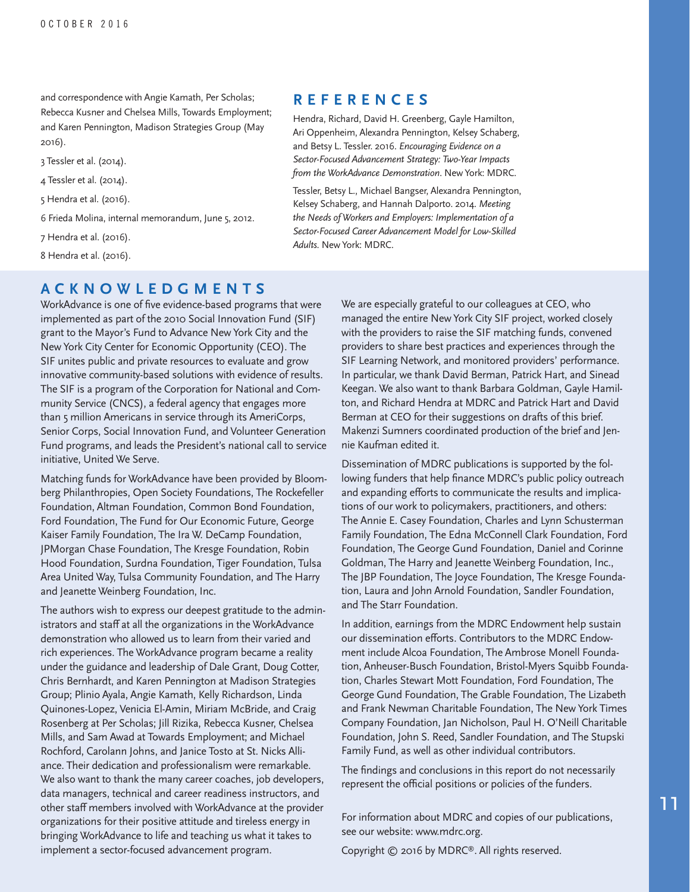and correspondence with Angie Kamath, Per Scholas; Rebecca Kusner and Chelsea Mills, Towards Employment; and Karen Pennington, Madison Strategies Group (May 2016).

- 3 Tessler et al. (2014).
- 4 Tessler et al. (2014).
- 5 Hendra et al. (2016).
- 6 Frieda Molina, internal memorandum, June 5, 2012.
- 7 Hendra et al. (2016).
- 8 Hendra et al. (2016).

# **ACKNOWLEDGMENTS**

WorkAdvance is one of five evidence-based programs that were implemented as part of the 2010 Social Innovation Fund (SIF) grant to the Mayor's Fund to Advance New York City and the New York City Center for Economic Opportunity (CEO). The SIF unites public and private resources to evaluate and grow innovative community-based solutions with evidence of results. The SIF is a program of the Corporation for National and Community Service (CNCS), a federal agency that engages more than 5 million Americans in service through its AmeriCorps, Senior Corps, Social Innovation Fund, and Volunteer Generation Fund programs, and leads the President's national call to service initiative, United We Serve.

Matching funds for WorkAdvance have been provided by Bloomberg Philanthropies, Open Society Foundations, The Rockefeller Foundation, Altman Foundation, Common Bond Foundation, Ford Foundation, The Fund for Our Economic Future, George Kaiser Family Foundation, The Ira W. DeCamp Foundation, JPMorgan Chase Foundation, The Kresge Foundation, Robin Hood Foundation, Surdna Foundation, Tiger Foundation, Tulsa Area United Way, Tulsa Community Foundation, and The Harry and Jeanette Weinberg Foundation, Inc.

The authors wish to express our deepest gratitude to the administrators and staff at all the organizations in the WorkAdvance demonstration who allowed us to learn from their varied and rich experiences. The WorkAdvance program became a reality under the guidance and leadership of Dale Grant, Doug Cotter, Chris Bernhardt, and Karen Pennington at Madison Strategies Group; Plinio Ayala, Angie Kamath, Kelly Richardson, Linda Quinones-Lopez, Venicia El-Amin, Miriam McBride, and Craig Rosenberg at Per Scholas; Jill Rizika, Rebecca Kusner, Chelsea Mills, and Sam Awad at Towards Employment; and Michael Rochford, Carolann Johns, and Janice Tosto at St. Nicks Alliance. Their dedication and professionalism were remarkable. We also want to thank the many career coaches, job developers, data managers, technical and career readiness instructors, and other staff members involved with WorkAdvance at the provider organizations for their positive attitude and tireless energy in bringing WorkAdvance to life and teaching us what it takes to implement a sector-focused advancement program.

#### **REFERENCES**

[Hendra, Richard, David H. Greenberg, Gayle Hamilton,](http://www.mdrc.org/publication/encouraging-evidence-sector-focused-advancement-strategy-0)  [Ari Oppenheim, Alexandra Pennington, Kelsey Schaberg,](http://www.mdrc.org/publication/encouraging-evidence-sector-focused-advancement-strategy-0)  [and Betsy L. Tessler. 2016.](http://www.mdrc.org/publication/encouraging-evidence-sector-focused-advancement-strategy-0) *Encouraging Evidence on a [Sector-Focused Advancement Strategy: Two-Year Impacts](http://www.mdrc.org/publication/encouraging-evidence-sector-focused-advancement-strategy-0)  [from the WorkAdvance Demonstration](http://www.mdrc.org/publication/encouraging-evidence-sector-focused-advancement-strategy-0)*. New York: MDRC.

[Tessler, Betsy L., Michael Bangser, Alexandra Pennington,](http://www.mdrc.org/publication/meeting-needs-workers-and-employers)  [Kelsey Schaberg, and Hannah Dalporto. 2014.](http://www.mdrc.org/publication/meeting-needs-workers-and-employers) *Meeting [the Needs of Workers and Employers: Implementation of a](http://www.mdrc.org/publication/meeting-needs-workers-and-employers)  [Sector-Focused Career Advancement Model for Low-Skilled](http://www.mdrc.org/publication/meeting-needs-workers-and-employers)  Adults.* [New York: MDRC.](http://www.mdrc.org/publication/meeting-needs-workers-and-employers)

> We are especially grateful to our colleagues at CEO, who managed the entire New York City SIF project, worked closely with the providers to raise the SIF matching funds, convened providers to share best practices and experiences through the SIF Learning Network, and monitored providers' performance. In particular, we thank David Berman, Patrick Hart, and Sinead Keegan. We also want to thank Barbara Goldman, Gayle Hamilton, and Richard Hendra at MDRC and Patrick Hart and David Berman at CEO for their suggestions on drafts of this brief. Makenzi Sumners coordinated production of the brief and Jennie Kaufman edited it.

Dissemination of MDRC publications is supported by the following funders that help finance MDRC's public policy outreach and expanding efforts to communicate the results and implications of our work to policymakers, practitioners, and others: The Annie E. Casey Foundation, Charles and Lynn Schusterman Family Foundation, The Edna McConnell Clark Foundation, Ford Foundation, The George Gund Foundation, Daniel and Corinne Goldman, The Harry and Jeanette Weinberg Foundation, Inc., The JBP Foundation, The Joyce Foundation, The Kresge Foundation, Laura and John Arnold Foundation, Sandler Foundation, and The Starr Foundation.

In addition, earnings from the MDRC Endowment help sustain our dissemination efforts. Contributors to the MDRC Endowment include Alcoa Foundation, The Ambrose Monell Foundation, Anheuser-Busch Foundation, Bristol-Myers Squibb Foundation, Charles Stewart Mott Foundation, Ford Foundation, The George Gund Foundation, The Grable Foundation, The Lizabeth and Frank Newman Charitable Foundation, The New York Times Company Foundation, Jan Nicholson, Paul H. O'Neill Charitable Foundation, John S. Reed, Sandler Foundation, and The Stupski Family Fund, as well as other individual contributors.

The findings and conclusions in this report do not necessarily represent the official positions or policies of the funders.

For information about MDRC and copies of our publications, see our website: www.mdrc.org.

Copyright © 2016 by MDRC®. All rights reserved.